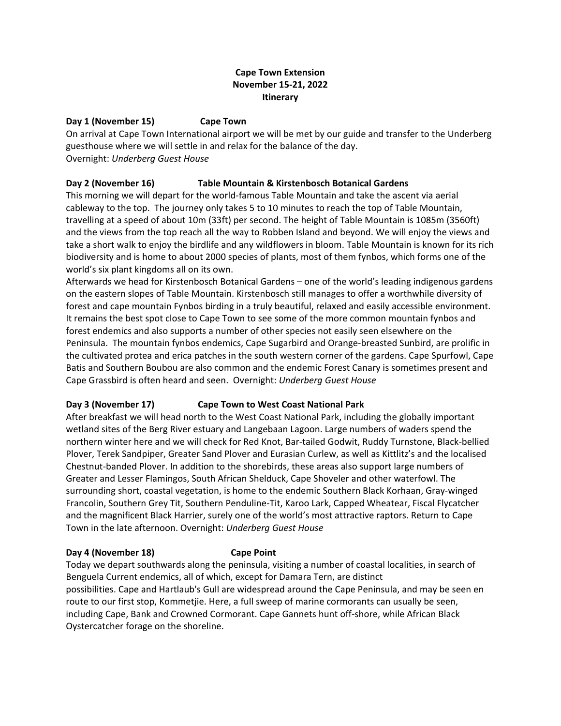### **Cape Town Extension November 15-21, 2022 Itinerary**

# **Day 1 (November 15) Cape Town**

On arrival at Cape Town International airport we will be met by our guide and transfer to the Underberg guesthouse where we will settle in and relax for the balance of the day. Overnight: *Underberg Guest House*

## **Day 2 (November 16) Table Mountain & Kirstenbosch Botanical Gardens**

This morning we will depart for the world-famous Table Mountain and take the ascent via aerial cableway to the top. The journey only takes 5 to 10 minutes to reach the top of Table Mountain, travelling at a speed of about 10m (33ft) per second. The height of Table Mountain is 1085m (3560ft) and the views from the top reach all the way to Robben Island and beyond. We will enjoy the views and take a short walk to enjoy the birdlife and any wildflowers in bloom. Table Mountain is known for its rich biodiversity and is home to about 2000 species of plants, most of them fynbos, which forms one of the world's six plant kingdoms all on its own.

Afterwards we head for Kirstenbosch Botanical Gardens – one of the world's leading indigenous gardens on the eastern slopes of Table Mountain. Kirstenbosch still manages to offer a worthwhile diversity of forest and cape mountain Fynbos birding in a truly beautiful, relaxed and easily accessible environment. It remains the best spot close to Cape Town to see some of the more common mountain fynbos and forest endemics and also supports a number of other species not easily seen elsewhere on the Peninsula. The mountain fynbos endemics, Cape Sugarbird and Orange-breasted Sunbird, are prolific in the cultivated protea and erica patches in the south western corner of the gardens. Cape Spurfowl, Cape Batis and Southern Boubou are also common and the endemic Forest Canary is sometimes present and Cape Grassbird is often heard and seen. Overnight: *Underberg Guest House*

### **Day 3 (November 17) Cape Town to West Coast National Park**

After breakfast we will head north to the West Coast National Park, including the globally important wetland sites of the Berg River estuary and Langebaan Lagoon. Large numbers of waders spend the northern winter here and we will check for Red Knot, Bar-tailed Godwit, Ruddy Turnstone, Black-bellied Plover, Terek Sandpiper, Greater Sand Plover and Eurasian Curlew, as well as Kittlitz's and the localised Chestnut-banded Plover. In addition to the shorebirds, these areas also support large numbers of Greater and Lesser Flamingos, South African Shelduck, Cape Shoveler and other waterfowl. The surrounding short, coastal vegetation, is home to the endemic Southern Black Korhaan, Gray-winged Francolin, Southern Grey Tit, Southern Penduline-Tit, Karoo Lark, Capped Wheatear, Fiscal Flycatcher and the magnificent Black Harrier, surely one of the world's most attractive raptors. Return to Cape Town in the late afternoon. Overnight: *Underberg Guest House*

### **Day 4 (November 18) Cape Point**

Today we depart southwards along the peninsula, visiting a number of coastal localities, in search of Benguela Current endemics, all of which, except for Damara Tern, are distinct possibilities. Cape and Hartlaub's Gull are widespread around the Cape Peninsula, and may be seen en route to our first stop, Kommetjie. Here, a full sweep of marine cormorants can usually be seen, including Cape, Bank and Crowned Cormorant. Cape Gannets hunt off-shore, while African Black Oystercatcher forage on the shoreline.